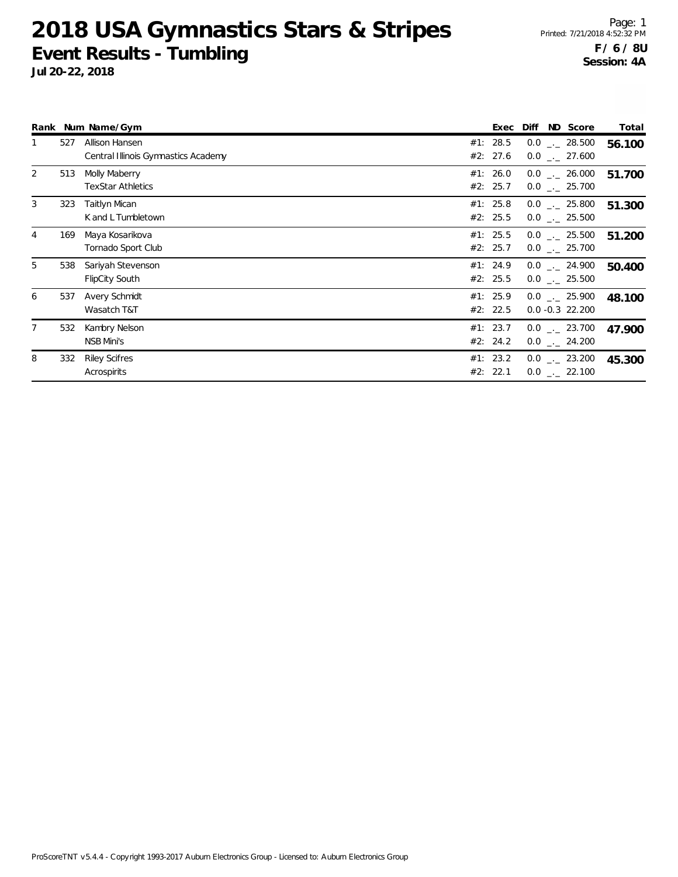Page: 1 Printed: 7/21/2018 4:52:32 PM **F / 6 / 8U Session: 4A**

|                |     | Rank Num Name/Gym                                     | Exec                 | Diff | ND Score                                       | Total  |
|----------------|-----|-------------------------------------------------------|----------------------|------|------------------------------------------------|--------|
| 1              | 527 | Allison Hansen<br>Central Illinois Gymnastics Academy | #1: 28.5<br>#2: 27.6 |      | $0.0$ _ 28.500<br>$0.0$ _ 27.600               | 56.100 |
| 2              | 513 | Molly Maberry<br><b>TexStar Athletics</b>             | #1: 26.0<br>#2: 25.7 |      | $0.0$ _._ 26.000<br>$0.0$ _._ 25.700           | 51.700 |
| 3              | 323 | Taitlyn Mican<br>K and L Tumbletown                   | #1: 25.8<br>#2: 25.5 |      | $0.0$ _._ 25.800<br>$0.0$ _ 25.500             | 51.300 |
| $\overline{4}$ | 169 | Maya Kosarikova<br>Tornado Sport Club                 | #1: 25.5<br>#2: 25.7 |      | $0.0$ _._ 25.500<br>$0.0$ _._ 25.700           | 51.200 |
| 5              | 538 | Sariyah Stevenson<br><b>FlipCity South</b>            | #1: 24.9<br>#2: 25.5 |      | $0.0$ $_{-}$ 24.900<br>$0.0$ _._ 25.500        | 50.400 |
| 6              | 537 | Avery Schmidt<br>Wasatch T&T                          | #1: 25.9<br>#2: 22.5 |      | $0.0$ $_{-.}$ 25.900<br>$0.0 - 0.3$ 22.200     | 48.100 |
| 7              | 532 | Kambry Nelson<br>NSB Mini's                           | #1: 23.7<br>#2: 24.2 |      | $0.0$ _._ 23.700<br>$0.0$ _ 24.200             | 47.900 |
| 8              | 332 | <b>Riley Scifres</b><br>Acrospirits                   | #1: 23.2<br>#2: 22.1 |      | $0.0$ $_{\leftarrow}$ 23.200<br>$0.0$ _ 22.100 | 45.300 |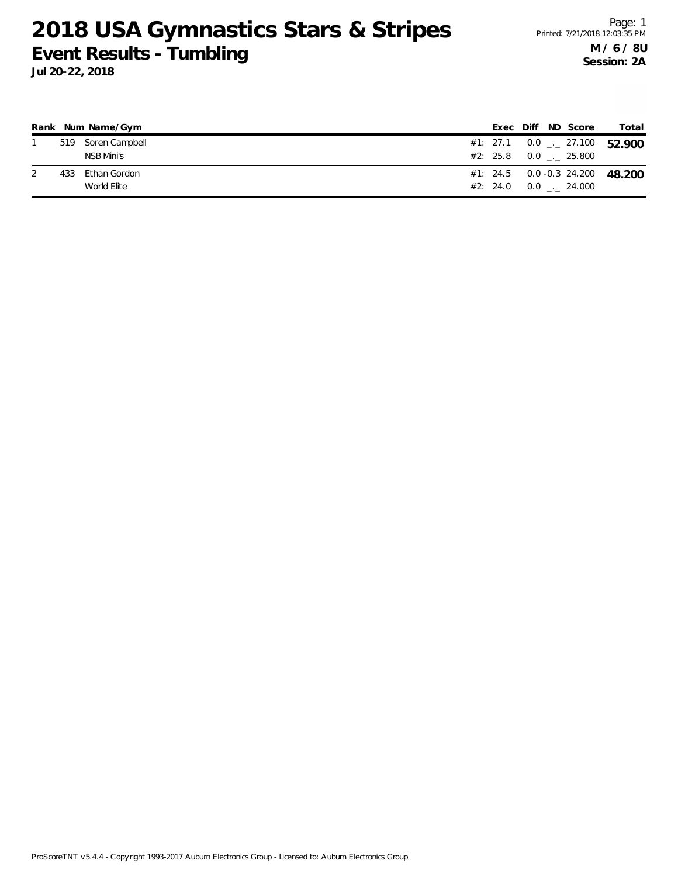|     | Rank Num Name/Gym  |  |  | Exec Diff ND Score    | Total                                    |
|-----|--------------------|--|--|-----------------------|------------------------------------------|
|     | 519 Soren Campbell |  |  |                       | #1: 27.1 0.0 $\frac{1}{2}$ 27.100 52.900 |
|     | NSB Mini's         |  |  | #2: 25.8 0.0 . 25.800 |                                          |
| 433 | Ethan Gordon       |  |  |                       | #1: 24.5  0.0 -0.3  24.200  48.200       |
|     | World Elite        |  |  | #2: 24.0 0.0 . 24.000 |                                          |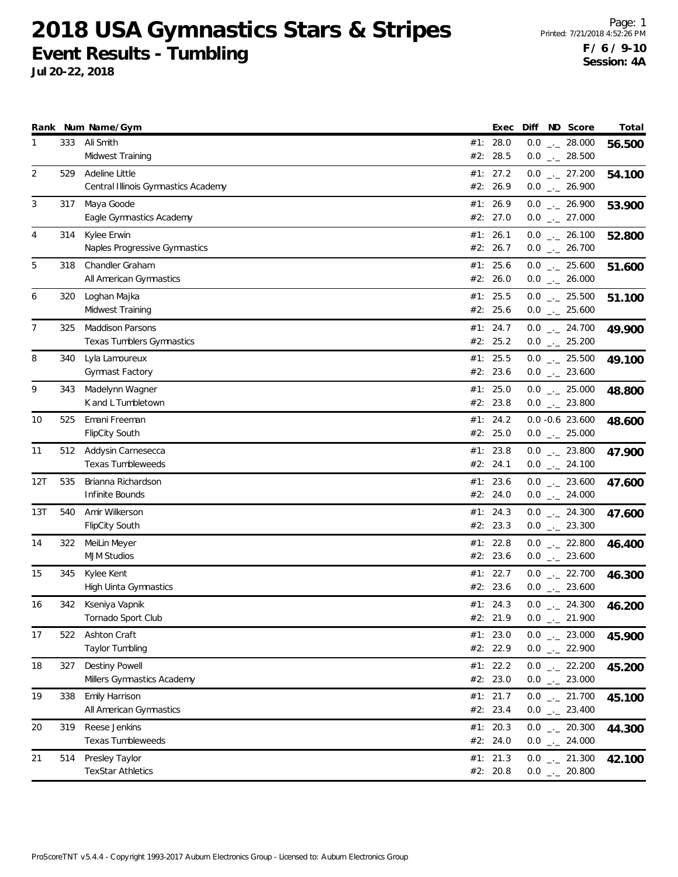|     |     | Rank Num Name/Gym                   | Exec       |  | Diff ND Score                | Total  |
|-----|-----|-------------------------------------|------------|--|------------------------------|--------|
| 1   | 333 | Ali Smith                           | #1: $28.0$ |  | $0.0$ _ 28.000               | 56.500 |
|     |     | Midwest Training                    | #2: 28.5   |  | $0.0$ _._ 28.500             |        |
| 2   | 529 | Adeline Little                      | #1: 27.2   |  | $0.0$ _ 27.200               | 54.100 |
|     |     | Central Illinois Gymnastics Academy | #2: 26.9   |  | $0.0$ $_{\leftarrow}$ 26.900 |        |
| 3   | 317 | Maya Goode                          | #1: 26.9   |  | $0.0$ _ 26.900               | 53.900 |
|     |     | Eagle Gymnastics Academy            | #2: 27.0   |  | $0.0$ _ 27.000               |        |
| 4   | 314 | Kylee Erwin                         | #1: 26.1   |  | $0.0$ _ 26.100               | 52.800 |
|     |     | Naples Progressive Gymnastics       | #2: 26.7   |  | $0.0$ _ 26.700               |        |
| 5   | 318 | Chandler Graham                     | #1: 25.6   |  | $0.0$ _ 25.600               | 51.600 |
|     |     | All American Gymnastics             | #2: 26.0   |  | $0.0$ _ 26.000               |        |
| 6   | 320 | Loghan Majka                        | #1: 25.5   |  | $0.0$ _ 25.500               | 51.100 |
|     |     | Midwest Training                    | #2: 25.6   |  | $0.0$ _ 25.600               |        |
| 7   | 325 | <b>Maddison Parsons</b>             | #1: 24.7   |  | $0.0$ _ 24.700               | 49.900 |
|     |     | Texas Tumblers Gymnastics           | #2: 25.2   |  | $0.0$ _ 25.200               |        |
| 8   | 340 | Lyla Lamoureux                      | #1: 25.5   |  | $0.0$ _._ 25.500             | 49.100 |
|     |     | Gymnast Factory                     | #2: 23.6   |  | $0.0$ _ 23.600               |        |
| 9   | 343 | Madelynn Wagner                     | #1: 25.0   |  | $0.0$ _ 25.000               | 48.800 |
|     |     | K and L Tumbletown                  | #2: 23.8   |  | $0.0$ _ 23.800               |        |
| 10  | 525 | Emani Freeman                       | #1: 24.2   |  | $0.0 - 0.6$ 23.600           | 48.600 |
|     |     | FlipCity South                      | #2: 25.0   |  | $0.0$ _ 25.000               |        |
| 11  | 512 | Addysin Carnesecca                  | #1: $23.8$ |  | $0.0$ _ 23.800               | 47.900 |
|     |     | <b>Texas Tumbleweeds</b>            | #2: 24.1   |  | $0.0$ _ 24.100               |        |
| 12T | 535 | Brianna Richardson                  | #1: 23.6   |  | $0.0$ _ 23.600               | 47.600 |
|     |     | Infinite Bounds                     | #2: 24.0   |  | $0.0$ _ 24.000               |        |
| 13T | 540 | Amir Wilkerson                      | #1: 24.3   |  | $0.0$ $_{\leftarrow}$ 24.300 | 47.600 |
|     |     | <b>FlipCity South</b>               | #2: 23.3   |  | $0.0$ _ 23.300               |        |
| 14  | 322 | MeiLin Meyer                        | #1: 22.8   |  | $0.0$ _ 22.800               | 46.400 |
|     |     | <b>MJM Studios</b>                  | #2: 23.6   |  | $0.0$ _ 23.600               |        |
| 15  | 345 | Kylee Kent                          | #1: 22.7   |  | $0.0$ _ 22.700               | 46.300 |
|     |     | <b>High Uinta Gymnastics</b>        | #2: 23.6   |  | $0.0$ _ 23.600               |        |
| 16  | 342 | Kseniya Vapnik                      | #1: 24.3   |  | $0.0$ _ 24.300               | 46.200 |
|     |     | Tornado Sport Club                  | #2: 21.9   |  | $0.0$ _._ 21.900             |        |
| 17  | 522 | Ashton Craft                        | #1: 23.0   |  | $0.0$ _ 23.000               | 45.900 |
|     |     | Taylor Tumbling                     | #2: 22.9   |  | $0.0$ _ 22.900               |        |
| 18  | 327 | Destiny Powell                      | #1: 22.2   |  | $0.0$ _ 22.200               | 45.200 |
|     |     | Millers Gymnastics Academy          | #2: 23.0   |  | $0.0$ _ 23.000               |        |
| 19  | 338 | Emily Harrison                      | #1: 21.7   |  | $0.0$ $_{-}$ 21.700          | 45.100 |
|     |     | All American Gymnastics             | #2: 23.4   |  | $0.0$ _ 23.400               |        |
| 20  | 319 | Reese Jenkins                       | #1: 20.3   |  | $0.0$ - 20.300               | 44.300 |
|     |     | <b>Texas Tumbleweeds</b>            | #2: 24.0   |  | $0.0$ _ 24.000               |        |
| 21  | 514 | Presley Taylor                      | #1: 21.3   |  | $0.0$ _ 21.300               | 42.100 |
|     |     | <b>TexStar Athletics</b>            | #2: 20.8   |  | $0.0$ _ 20.800               |        |
|     |     |                                     |            |  |                              |        |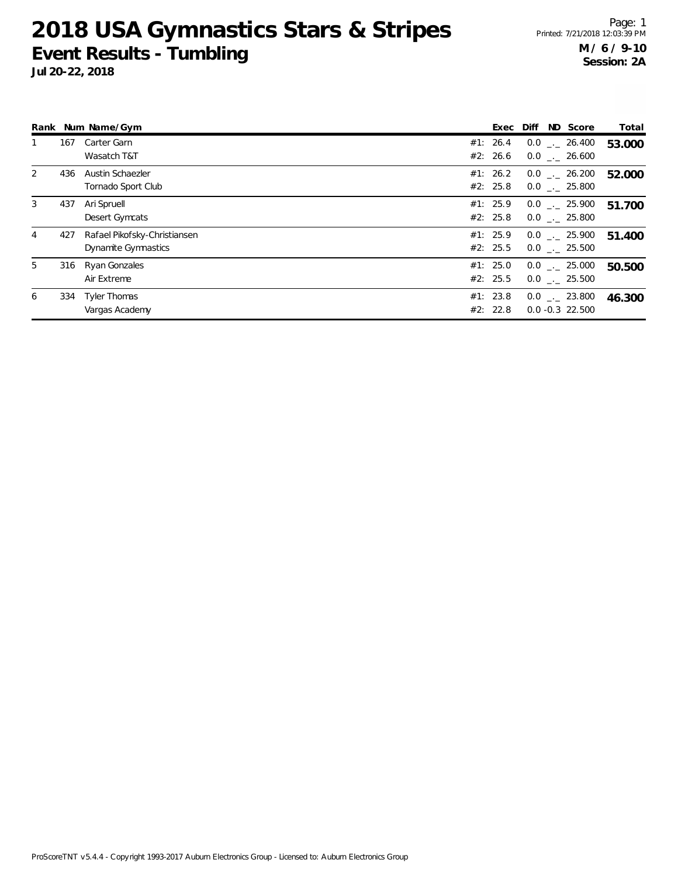|                |     | Rank Num Name/Gym                                   | Exec Diff            |  | ND Score                               | Total  |
|----------------|-----|-----------------------------------------------------|----------------------|--|----------------------------------------|--------|
|                | 167 | Carter Garn<br>Wasatch T&T                          | #1: 26.4<br>#2: 26.6 |  | $0.0$ _._ 26.400<br>$0.0$ _. 26.600    | 53.000 |
| 2              | 436 | Austin Schaezler<br>Tornado Sport Club              | #1: 26.2<br>#2: 25.8 |  | $0.0$ _. 26.200<br>$0.0$ _. 25.800     | 52.000 |
| 3              | 437 | Ari Spruell<br>Desert Gymcats                       | #1: 25.9<br>#2: 25.8 |  | $0.0$ . 25.900<br>$0.0$ . 25.800       | 51.700 |
| $\overline{4}$ | 427 | Rafael Pikofsky-Christiansen<br>Dynamite Gymnastics | #1: 25.9<br>#2: 25.5 |  | $0.0$ _._ 25.900<br>$0.0$ . 25.500     | 51.400 |
| 5              | 316 | Ryan Gonzales<br>Air Extreme                        | #1: 25.0<br>#2: 25.5 |  | $0.0$ _._ 25.000<br>$0.0$ _. 25.500    | 50.500 |
| 6              | 334 | Tyler Thomas<br>Vargas Academy                      | #1: 23.8<br>#2: 22.8 |  | $0.0$ _._ 23.800<br>$0.0 - 0.3$ 22.500 | 46.300 |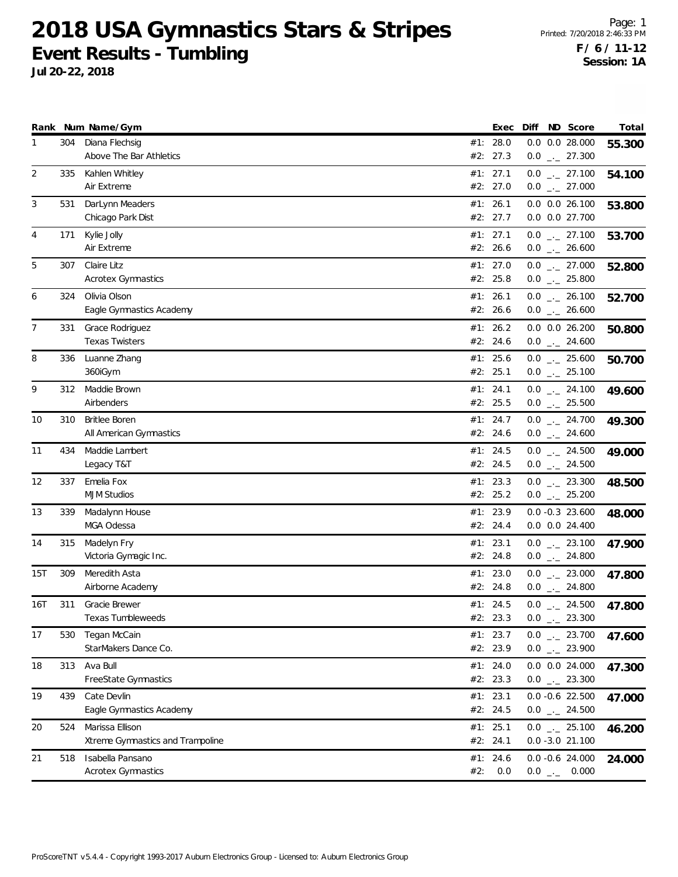|     |     | Rank Num Name/Gym                                   |     | Exec                 |          | Diff ND Score                                                | Total  |
|-----|-----|-----------------------------------------------------|-----|----------------------|----------|--------------------------------------------------------------|--------|
| 1   | 304 | Diana Flechsig<br>Above The Bar Athletics           |     | #1: 28.0<br>#2: 27.3 |          | $0.0$ $0.0$ 28.000<br>$0.0$ $_{-}$ 27.300                    | 55.300 |
| 2   | 335 | Kahlen Whitley<br>Air Extreme                       |     | #1: 27.1<br>#2: 27.0 |          | $0.0$ _ 27.100<br>$0.0$ _ 27.000                             | 54.100 |
| 3   | 531 | DarLynn Meaders<br>Chicago Park Dist                |     | #1: 26.1<br>#2: 27.7 |          | $0.0$ $0.0$ 26.100<br>0.0 0.0 27.700                         | 53.800 |
| 4   | 171 | Kylie Jolly<br>Air Extreme                          |     | #1: 27.1<br>#2: 26.6 |          | $0.0$ $_{\leftarrow}$ 27.100<br>$0.0$ _ 26.600               | 53.700 |
| 5   | 307 | Claire Litz<br><b>Acrotex Gymnastics</b>            |     | #1: 27.0<br>#2: 25.8 |          | $0.0$ _ 27.000<br>$0.0$ _ 25.800                             | 52.800 |
| 6   | 324 | Olivia Olson<br>Eagle Gymnastics Academy            |     | #1: 26.1<br>#2: 26.6 |          | $0.0$ _ 26.100<br>$0.0$ _ 26.600                             | 52.700 |
| 7   | 331 | Grace Rodriguez<br><b>Texas Twisters</b>            |     | #1: 26.2<br>#2: 24.6 |          | $0.0$ $0.0$ $26.200$<br>$0.0$ _ 24.600                       | 50.800 |
| 8   | 336 | Luanne Zhang<br>360iGym                             |     | #1: 25.6<br>#2: 25.1 |          | $0.0$ _ 25.600<br>$0.0$ $_{\leftarrow}$ 25.100               | 50.700 |
| 9   | 312 | Maddie Brown<br>Airbenders                          |     | #1: 24.1<br>#2: 25.5 |          | $0.0$ _ 24.100<br>$0.0$ _ 25.500                             | 49.600 |
| 10  | 310 | <b>Britlee Boren</b><br>All American Gymnastics     |     | #1: 24.7<br>#2: 24.6 |          | $0.0$ _ 24.700<br>$0.0$ _ 24.600                             | 49.300 |
| 11  | 434 | Maddie Lambert<br>Legacy T&T                        |     | #1: 24.5<br>#2: 24.5 |          | $0.0$ $_{\leftarrow}$ 24.500<br>$0.0$ $_{\leftarrow}$ 24.500 | 49.000 |
| 12  | 337 | Emelia Fox<br><b>MJM Studios</b>                    |     | #1: 23.3<br>#2: 25.2 |          | $0.0$ $_{-}$ 23.300<br>$0.0$ $_{-}$ 25.200                   | 48.500 |
| 13  | 339 | Madalynn House<br>MGA Odessa                        |     | #1: 23.9<br>#2: 24.4 |          | $0.0 - 0.3$ 23.600<br>$0.0$ $0.0$ 24.400                     | 48.000 |
| 14  | 315 | Madelyn Fry<br>Victoria Gymagic Inc.                |     | #1: 23.1<br>#2: 24.8 |          | $0.0$ $_{-}$ 23.100<br>$0.0$ _ 24.800                        | 47.900 |
| 15T | 309 | Meredith Asta<br>Airborne Academy                   |     | #1: 23.0<br>#2: 24.8 |          | $0.0$ _ 23.000<br>$0.0$ _ 24.800                             | 47.800 |
| 16T | 311 | Gracie Brewer<br>Texas Tumbleweeds                  |     | #1: 24.5<br>#2: 23.3 |          | $0.0$ $_{\leftarrow}$ 24.500<br>$0.0$ . 23.300               | 47.800 |
| 17  | 530 | Tegan McCain<br>StarMakers Dance Co.                |     | #1: 23.7<br>#2: 23.9 |          | $0.0$ $_{-}$ 23.700<br>$0.0$ _ 23.900                        | 47.600 |
| 18  | 313 | Ava Bull<br>FreeState Gymnastics                    |     | #1: 24.0<br>#2: 23.3 |          | $0.0$ $0.0$ 24.000<br>$0.0$ _ 23.300                         | 47.300 |
| 19  | 439 | Cate Devlin<br>Eagle Gymnastics Academy             |     | #1: 23.1<br>#2: 24.5 |          | $0.0 -0.6$ 22.500<br>$0.0$ _ 24.500                          | 47.000 |
| 20  | 524 | Marissa Ellison<br>Xtreme Gymnastics and Trampoline |     | #1: 25.1<br>#2: 24.1 |          | $0.0$ _ 25.100<br>$0.0 - 3.0 21.100$                         | 46.200 |
| 21  | 518 | Isabella Pansano<br><b>Acrotex Gymnastics</b>       | #2: | #1: 24.6<br>0.0      | $0.0$ _- | $0.0 -0.6$ 24.000<br>0.000                                   | 24.000 |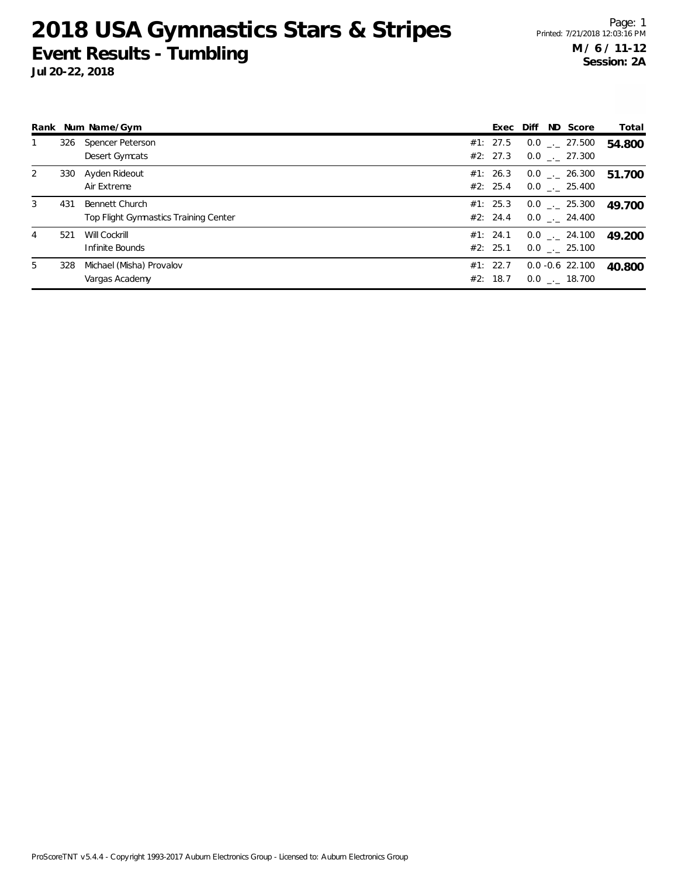| Total  |
|--------|
| 54.800 |
|        |
| 51.700 |
|        |
| 49.700 |
|        |
| 49 200 |
|        |
| 40.800 |
|        |
|        |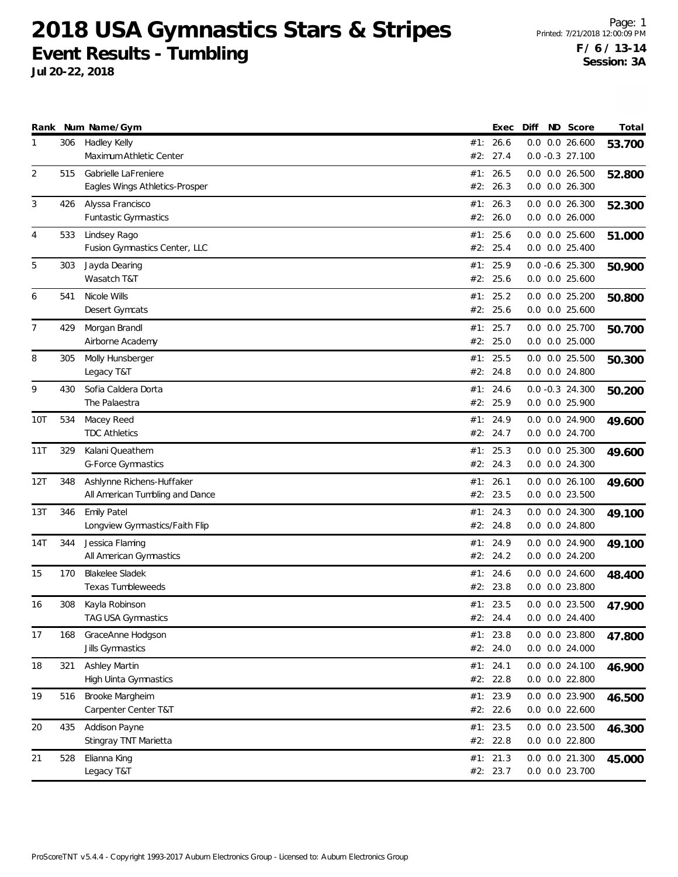|                |     | Rank Num Name/Gym                                            |            | Exec                 | Diff | ND Score                                 | Total  |
|----------------|-----|--------------------------------------------------------------|------------|----------------------|------|------------------------------------------|--------|
| 1              | 306 | Hadley Kelly<br>Maximum Athletic Center                      | #2:        | #1: 26.6<br>27.4     |      | $0.0$ $0.0$ 26.600<br>$0.0 - 0.3$ 27.100 | 53.700 |
| 2              | 515 | Gabrielle LaFreniere<br>Eagles Wings Athletics-Prosper       | #2:        | #1: 26.5<br>26.3     |      | $0.0$ $0.0$ 26.500<br>$0.0$ $0.0$ 26.300 | 52.800 |
| 3              | 426 | Alyssa Francisco<br>Funtastic Gymnastics                     | #1:        | 26.3<br>#2: 26.0     |      | 0.0 0.0 26.300<br>$0.0$ $0.0$ 26.000     | 52.300 |
| 4              | 533 | Lindsey Rago<br>Fusion Gymnastics Center, LLC                | #1:<br>#2: | 25.6<br>25.4         |      | $0.0$ $0.0$ 25.600<br>$0.0$ $0.0$ 25.400 | 51.000 |
| 5              | 303 | Jayda Dearing<br>Wasatch T&T                                 |            | #1: 25.9<br>#2: 25.6 |      | $0.0 - 0.6$ 25.300<br>$0.0$ $0.0$ 25.600 | 50.900 |
| 6              | 541 | Nicole Wills<br>Desert Gymcats                               | #1:        | 25.2<br>#2: 25.6     |      | 0.0 0.0 25.200<br>$0.0$ $0.0$ 25.600     | 50.800 |
| $\overline{7}$ | 429 | Morgan Brandl<br>Airborne Academy                            | #1:<br>#2: | 25.7<br>25.0         |      | 0.0 0.0 25.700<br>$0.0$ $0.0$ 25.000     | 50.700 |
| 8              | 305 | Molly Hunsberger<br>Legacy T&T                               |            | #1: 25.5<br>#2: 24.8 |      | $0.0$ $0.0$ 25.500<br>0.0 0.0 24.800     | 50.300 |
| 9              | 430 | Sofia Caldera Dorta<br>The Palaestra                         |            | #1: 24.6<br>#2: 25.9 |      | $0.0 - 0.3$ 24.300<br>0.0 0.0 25.900     | 50.200 |
| 10T            | 534 | Macey Reed<br><b>TDC Athletics</b>                           |            | #1: 24.9<br>#2: 24.7 |      | 0.0 0.0 24.900<br>$0.0$ $0.0$ 24.700     | 49.600 |
| 11T            | 329 | Kalani Queathem<br>G-Force Gymnastics                        | #1:        | 25.3<br>#2: 24.3     |      | 0.0 0.0 25.300<br>0.0 0.0 24.300         | 49.600 |
| 12T            | 348 | Ashlynne Richens-Huffaker<br>All American Tumbling and Dance | #1:<br>#2: | 26.1<br>23.5         |      | $0.0$ $0.0$ 26.100<br>0.0 0.0 23.500     | 49.600 |
| 13T            | 346 | <b>Emily Patel</b><br>Longview Gymnastics/Faith Flip         |            | #1: 24.3<br>#2: 24.8 |      | 0.0 0.0 24.300<br>0.0 0.0 24.800         | 49.100 |
| 14T            | 344 | Jessica Flaming<br>All American Gymnastics                   |            | #1: 24.9<br>#2: 24.2 |      | 0.0 0.0 24.900<br>$0.0$ $0.0$ 24.200     | 49.100 |
| 15             | 170 | <b>Blakelee Sladek</b><br><b>Texas Tumbleweeds</b>           | #1:<br>#2: | 24.6<br>23.8         |      | 0.0 0.0 24.600<br>0.0 0.0 23.800         | 48.400 |
| 16             | 308 | Kayla Robinson<br><b>TAG USA Gymnastics</b>                  |            | #1: 23.5<br>#2: 24.4 |      | $0.0$ $0.0$ 23.500<br>$0.0$ $0.0$ 24.400 | 47.900 |
| 17             | 168 | GraceAnne Hodgson<br>Jills Gymnastics                        |            | #1: 23.8<br>#2: 24.0 |      | 0.0 0.0 23.800<br>$0.0$ $0.0$ 24.000     | 47.800 |
| 18             | 321 | Ashley Martin<br>High Uinta Gymnastics                       |            | #1: 24.1<br>#2: 22.8 |      | 0.0 0.0 24.100<br>$0.0$ $0.0$ 22.800     | 46.900 |
| 19             | 516 | Brooke Margheim<br>Carpenter Center T&T                      |            | #1: 23.9<br>#2: 22.6 |      | 0.0 0.0 23.900<br>$0.0$ $0.0$ 22.600     | 46.500 |
| 20             | 435 | Addison Payne<br>Stingray TNT Marietta                       |            | #1: 23.5<br>#2: 22.8 |      | 0.0 0.0 23.500<br>$0.0$ $0.0$ 22.800     | 46.300 |
| 21             | 528 | Elianna King<br>Legacy T&T                                   |            | #1: 21.3<br>#2: 23.7 |      | 0.0 0.0 21.300<br>0.0 0.0 23.700         | 45.000 |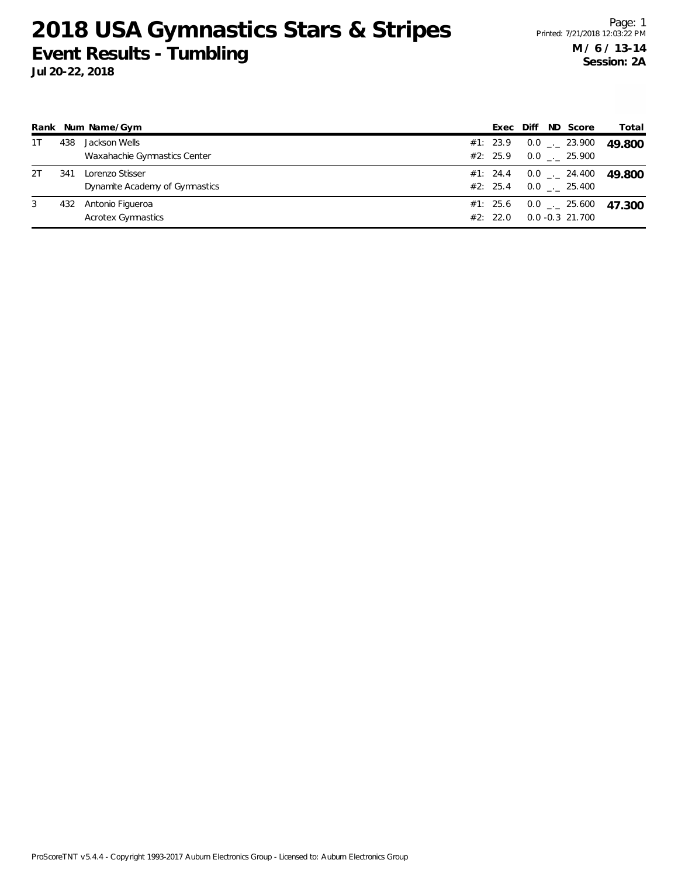|    |     | Rank Num Name/Gym                                 | Exec                 | Diff | ND Score                                 | Total  |
|----|-----|---------------------------------------------------|----------------------|------|------------------------------------------|--------|
| 1T | 438 | Jackson Wells<br>Waxahachie Gymnastics Center     | #1: 23.9<br>#2: 25.9 |      | $0.0$ $_{--}$ 23.900<br>$0.0$ _._ 25.900 | 49.800 |
| 2T | 341 | Lorenzo Stisser<br>Dynamite Academy of Gymnastics | #1: 24.4<br>#2: 25.4 |      | $0.0$ _ $-$ 24.400<br>$0.0$ _._ 25.400   | 49.800 |
| 3  | 432 | Antonio Figueroa<br><b>Acrotex Gymnastics</b>     | #1: 25.6<br>#2: 22.0 |      | $0.0$ _._ 25.600<br>$0.0 - 0.3$ 21.700   | 47.300 |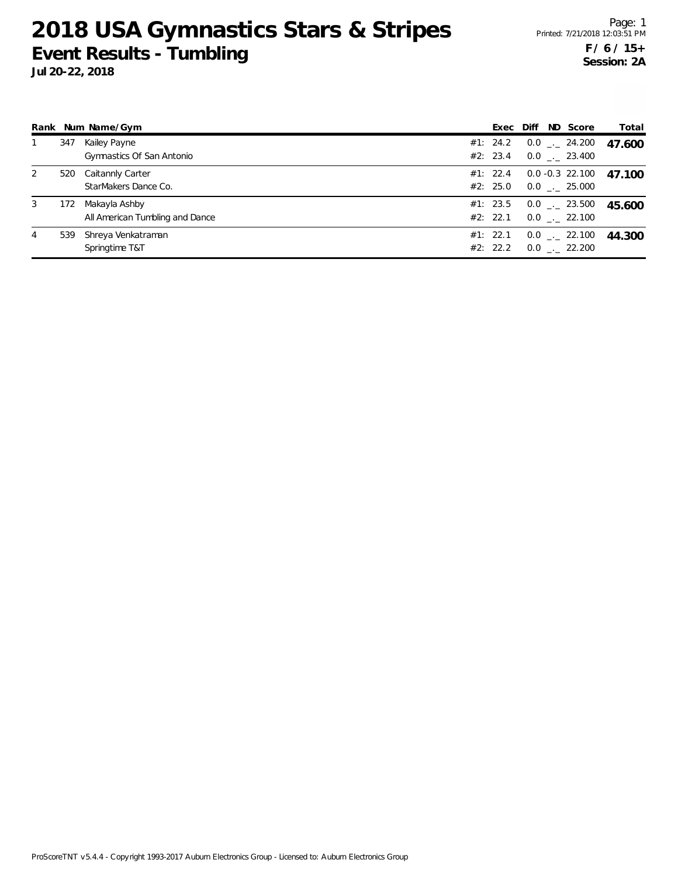|   |     | Rank Num Name/Gym                                | Exec                 | Diff | ND Score                             | Total  |
|---|-----|--------------------------------------------------|----------------------|------|--------------------------------------|--------|
|   | 347 | Kailey Payne<br>Gymnastics Of San Antonio        | #1: 24.2<br>#2: 23.4 |      | $0.0$ _._ 24.200<br>$0.0$ _. 23.400  | 47.600 |
| 2 | 520 | Caitannly Carter<br>StarMakers Dance Co.         | #1: 22.4<br>#2: 25.0 |      | $0.0 - 0.3$ 22.100<br>$0.0$ . 25.000 | 47.100 |
| 3 | 172 | Makayla Ashby<br>All American Tumbling and Dance | #1: 23.5<br>#2: 22.1 |      | $0.0$ _._ 23.500<br>$0.0$ _. 22.100  | 45.600 |
| 4 | 539 | Shreya Venkatraman<br>Springtime T&T             | #1: 22.1<br>#2: 22.2 |      | $0.0$ _._ 22.100<br>$0.0$ _ 22.200   | 44.300 |